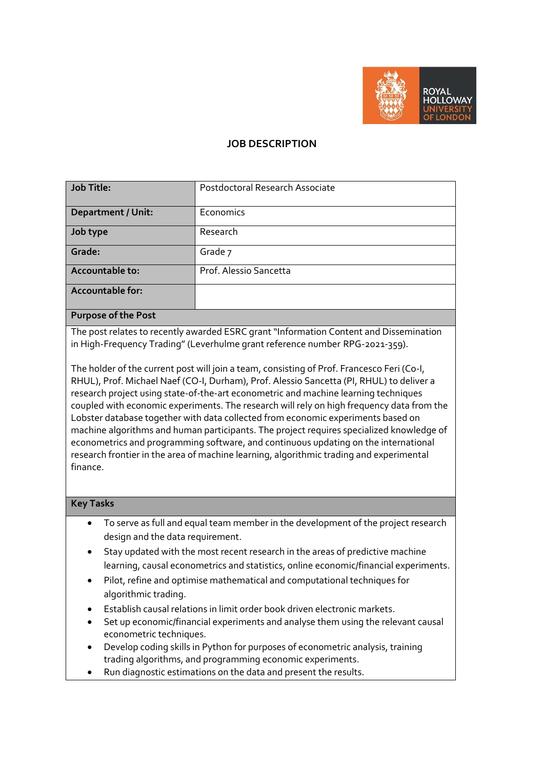

### **JOB DESCRIPTION**

| <b>Job Title:</b>              | Postdoctoral Research Associate |
|--------------------------------|---------------------------------|
| <b>Department / Unit:</b>      | Economics                       |
| Job type                       | Research                        |
| Grade:                         | Grade 7                         |
| Accountable to:                | Prof. Alessio Sancetta          |
| <b>Accountable for:</b>        |                                 |
| $\sim$<br>$\sim$ $\sim$ $\sim$ |                                 |

#### **Purpose of the Post**

The post relates to recently awarded ESRC grant "Information Content and Dissemination in High-Frequency Trading" (Leverhulme grant reference number RPG-2021-359).

The holder of the current post will join a team, consisting of Prof. Francesco Feri (Co-I, RHUL), Prof. Michael Naef (CO-I, Durham), Prof. Alessio Sancetta (PI, RHUL) to deliver a research project using state-of-the-art econometric and machine learning techniques coupled with economic experiments. The research will rely on high frequency data from the Lobster database together with data collected from economic experiments based on machine algorithms and human participants. The project requires specialized knowledge of econometrics and programming software, and continuous updating on the international research frontier in the area of machine learning, algorithmic trading and experimental finance.

#### **Key Tasks**

- To serve as full and equal team member in the development of the project research design and the data requirement.
- Stay updated with the most recent research in the areas of predictive machine learning, causal econometrics and statistics, online economic/financial experiments.
- Pilot, refine and optimise mathematical and computational techniques for algorithmic trading.
- Establish causal relations in limit order book driven electronic markets.
- Set up economic/financial experiments and analyse them using the relevant causal econometric techniques.
- Develop coding skills in Python for purposes of econometric analysis, training trading algorithms, and programming economic experiments.
- Run diagnostic estimations on the data and present the results.